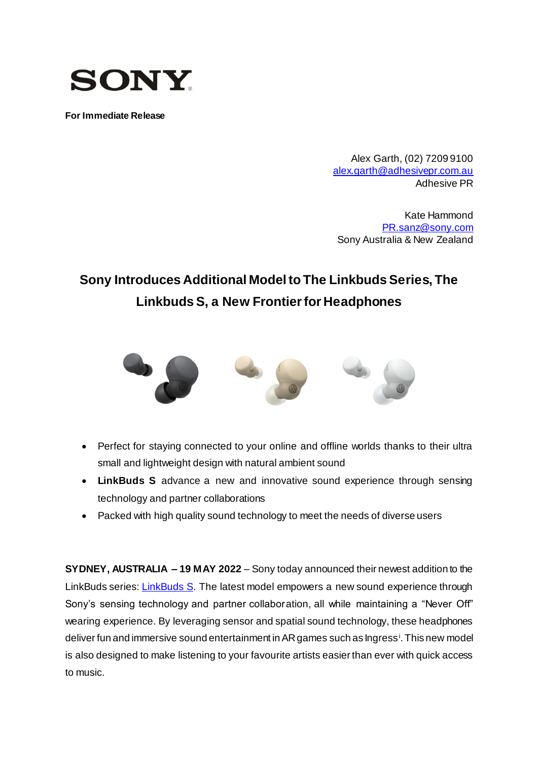

**For Immediate Release**

Alex Garth, (02) 7209 9100 [alex.garth@adhesivepr.com.au](mailto:alex.garth@adhesivepr.com.au) Adhesive PR

Kate Hammond [PR.sanz@sony.com](mailto:PR.sanz@sony.com) Sony Australia & New Zealand

# **Sony Introduces Additional Model to The Linkbuds Series, The Linkbuds S, a New Frontier for Headphones**



- Perfect for staying connected to your online and offline worlds thanks to their ultra small and lightweight design with natural ambient sound
- **LinkBuds S** advance a new and innovative sound experience through sensing technology and partner collaborations
- Packed with high quality sound technology to meet the needs of diverse users

**SYDNEY, AUSTRALIA – 19 MAY 2022** – Sony today announced their newest addition to the LinkBuds series: **LinkBuds S**. The latest model empowers a new sound experience through Sony's sensing technology and partner collaboration, all while maintaining a "Never Off" wearing experience. By leveraging sensor and spatial sound technology, these headphones deliver fun and immersive sound entertainment in AR games such as Ingress<sup>i</sup>. This new model is also designed to make listening to your favourite artists easier than ever with quick access to music.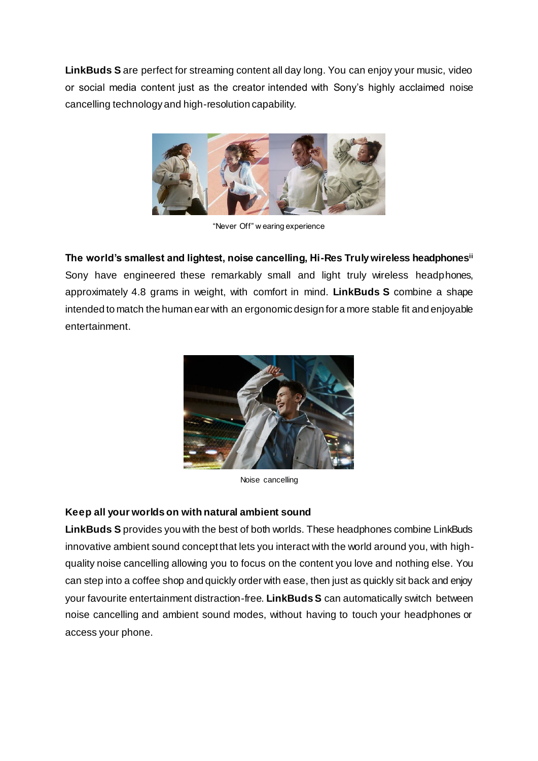**LinkBuds S** are perfect for streaming content all day long. You can enjoy your music, video or social media content just as the creator intended with Sony's highly acclaimed noise cancelling technology and high-resolution capability.



"Never Off" w earing experience

**The world's smallest and lightest, noise cancelling, Hi-Res Truly wireless headphonesii** Sony have engineered these remarkably small and light truly wireless headphones, approximately 4.8 grams in weight, with comfort in mind. **LinkBuds S** combine a shape intended to match the human ear with an ergonomic design for a more stable fit and enjoyable entertainment.



Noise cancelling

# **Keep all your worlds on with natural ambient sound**

**LinkBuds S** provides you with the best of both worlds. These headphones combine LinkBuds innovative ambient sound concept that lets you interact with the world around you, with highquality noise cancelling allowing you to focus on the content you love and nothing else. You can step into a coffee shop and quickly order with ease, then just as quickly sit back and enjoy your favourite entertainment distraction-free. **LinkBuds S** can automatically switch between noise cancelling and ambient sound modes, without having to touch your headphones or access your phone.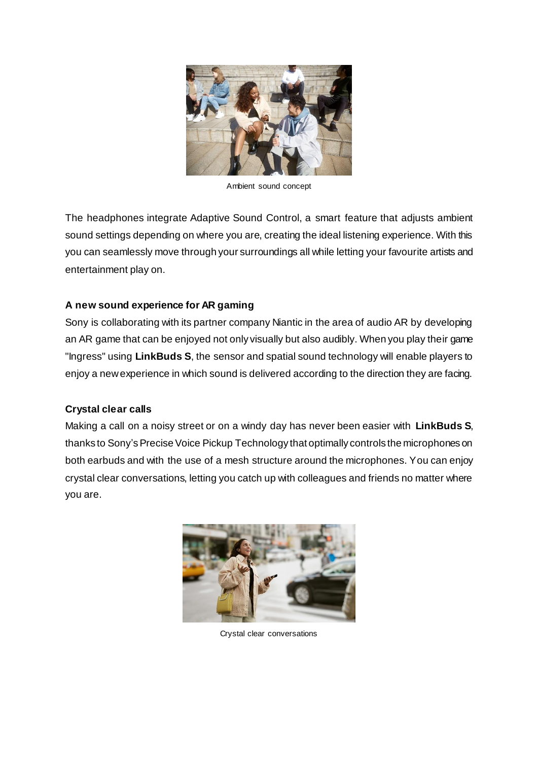

Ambient sound concept

The headphones integrate Adaptive Sound Control, a smart feature that adjusts ambient sound settings depending on where you are, creating the ideal listening experience. With this you can seamlessly move through your surroundings all while letting your favourite artists and entertainment play on.

# **A new sound experience for AR gaming**

Sony is collaborating with its partner company Niantic in the area of audio AR by developing an AR game that can be enjoyed not only visually but also audibly. When you play their game "Ingress" using **LinkBuds S**, the sensor and spatial sound technology will enable players to enjoy a new experience in which sound is delivered according to the direction they are facing.

# **Crystal clear calls**

Making a call on a noisy street or on a windy day has never been easier with **LinkBuds S**, thanks to Sony's Precise Voice Pickup Technology that optimally controls the microphones on both earbuds and with the use of a mesh structure around the microphones. You can enjoy crystal clear conversations, letting you catch up with colleagues and friends no matter where you are.



Crystal clear conversations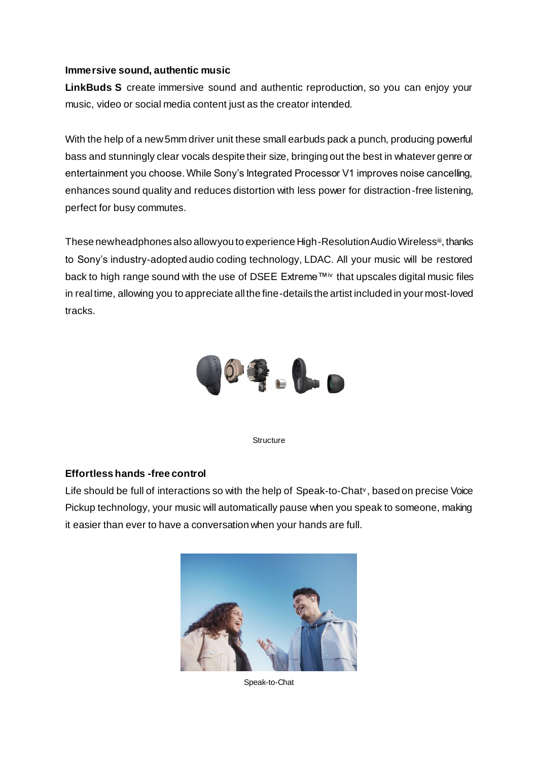#### **Immersive sound, authentic music**

**LinkBuds S** create immersive sound and authentic reproduction, so you can enjoy your music, video or social media content just as the creator intended.

With the help of a new 5mm driver unit these small earbuds pack a punch, producing powerful bass and stunningly clear vocals despite their size, bringing out the best in whatever genre or entertainment you choose. While Sony's Integrated Processor V1 improves noise cancelling, enhances sound quality and reduces distortion with less power for distraction-free listening, perfect for busy commutes.

These new headphones also allow you to experience High-Resolution Audio Wirelessiii, thanks to Sony's industry-adopted audio coding technology, LDAC. All your music will be restored back to high range sound with the use of DSEE Extreme™iv that upscales digital music files in real time, allowing you to appreciate all the fine-details the artist included in your most-loved tracks.



**Structure** 

# **Effortless hands -free control**

Life should be full of interactions so with the help of Speak-to-Chat<sup>v</sup>, based on precise Voice Pickup technology, your music will automatically pause when you speak to someone, making it easier than ever to have a conversation when your hands are full.



Speak-to-Chat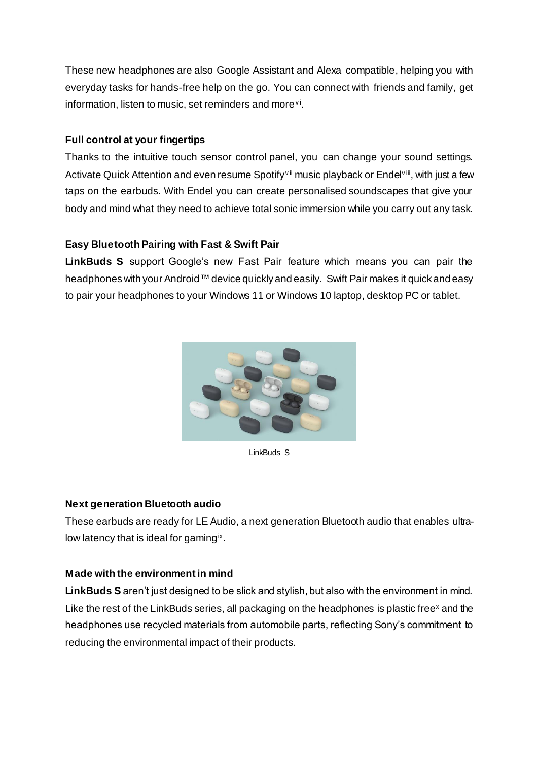These new headphones are also Google Assistant and Alexa compatible, helping you with everyday tasks for hands-free help on the go. You can connect with friends and family, get information, listen to music, set reminders and more<sup>vi</sup>.

# **Full control at your fingertips**

Thanks to the intuitive touch sensor control panel, you can change your sound settings. Activate Quick Attention and even resume Spotify<sup>vii</sup> music playback or Endel<sup>viii</sup>, with just a few taps on the earbuds. With Endel you can create personalised soundscapes that give your body and mind what they need to achieve total sonic immersion while you carry out any task.

# **Easy Bluetooth Pairing with Fast & Swift Pair**

**LinkBuds S** support Google's new Fast Pair feature which means you can pair the headphones with your Android™ device quickly and easily. Swift Pair makes it quick and easy to pair your headphones to your Windows 11 or Windows 10 laptop, desktop PC or tablet.



LinkBuds S

# **Next generation Bluetooth audio**

These earbuds are ready for LE Audio, a next generation Bluetooth audio that enables ultralow latency that is ideal for gaming<sup>ix</sup>.

# **Made with the environment in mind**

**LinkBuds S** aren't just designed to be slick and stylish, but also with the environment in mind. Like the rest of the LinkBuds series, all packaging on the headphones is plastic free<sup>x</sup> and the headphones use recycled materials from automobile parts, reflecting Sony's commitment to reducing the environmental impact of their products.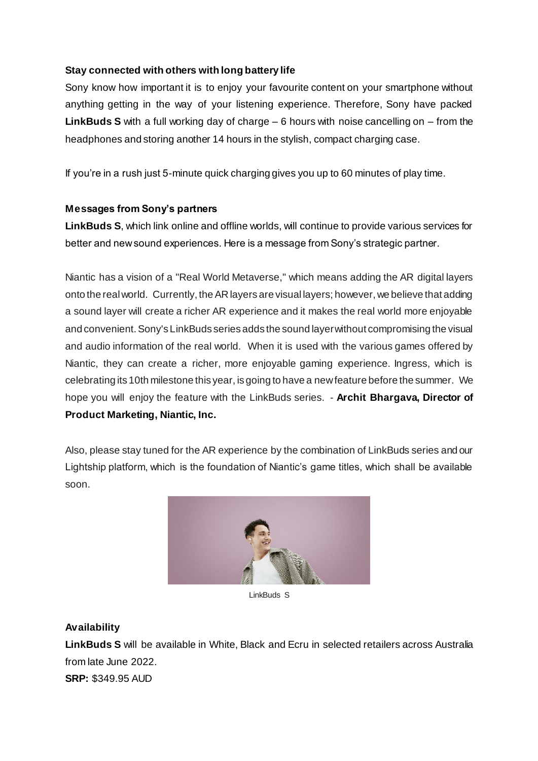# **Stay connected with others with long battery life**

Sony know how important it is to enjoy your favourite content on your smartphone without anything getting in the way of your listening experience. Therefore, Sony have packed **LinkBuds S** with a full working day of charge – 6 hours with noise cancelling on – from the headphones and storing another 14 hours in the stylish, compact charging case.

If you're in a rush just 5-minute quick charging gives you up to 60 minutes of play time.

# **Messages from Sony's partners**

**LinkBuds S**, which link online and offline worlds, will continue to provide various services for better and new sound experiences. Here is a message from Sony's strategic partner.

Niantic has a vision of a "Real World Metaverse," which means adding the AR digital layers onto the real world. Currently, the AR layers are visual layers; however, we believe that adding a sound layer will create a richer AR experience and it makes the real world more enjoyable and convenient. Sony's LinkBuds series adds the sound layer without compromising the visual and audio information of the real world. When it is used with the various games offered by Niantic, they can create a richer, more enjoyable gaming experience. Ingress, which is celebrating its 10th milestone this year, is going to have a new feature before the summer. We hope you will enjoy the feature with the LinkBuds series. - **Archit Bhargava, Director of Product Marketing, Niantic, Inc.**

Also, please stay tuned for the AR experience by the combination of LinkBuds series and our Lightship platform, which is the foundation of Niantic's game titles, which shall be available soon.



LinkBuds S

# **Availability**

**LinkBuds S** will be available in White, Black and Ecru in selected retailers across Australia from late June 2022. **SRP:** \$349.95 AUD